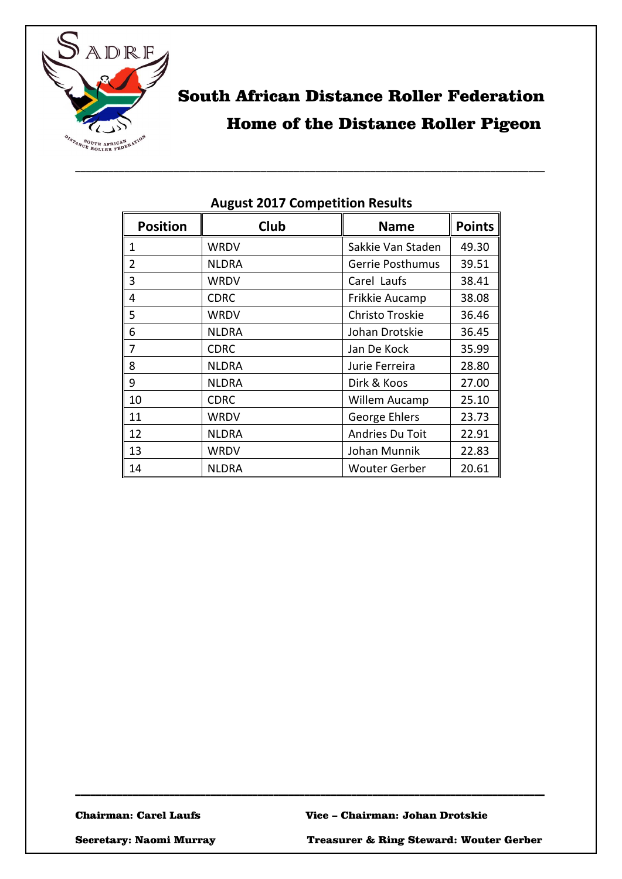

# South African Distance Roller Federation Home of the Distance Roller Pigeon

| <b>Position</b> | Club         | <b>Name</b>          | <b>Points</b> |
|-----------------|--------------|----------------------|---------------|
| 1               | WRDV         | Sakkie Van Staden    | 49.30         |
| 2               | <b>NLDRA</b> | Gerrie Posthumus     | 39.51         |
| 3               | WRDV         | Carel Laufs          | 38.41         |
| 4               | <b>CDRC</b>  | Frikkie Aucamp       | 38.08         |
| 5               | WRDV         | Christo Troskie      | 36.46         |
| 6               | <b>NLDRA</b> | Johan Drotskie       | 36.45         |
| 7               | <b>CDRC</b>  | Jan De Kock          | 35.99         |
| 8               | <b>NLDRA</b> | Jurie Ferreira       | 28.80         |
| 9               | <b>NLDRA</b> | Dirk & Koos          | 27.00         |
| 10              | <b>CDRC</b>  | Willem Aucamp        | 25.10         |
| 11              | WRDV         | George Ehlers        | 23.73         |
| 12              | <b>NLDRA</b> | Andries Du Toit      | 22.91         |
| 13              | WRDV         | Johan Munnik         | 22.83         |
| 14              | <b>NLDRA</b> | <b>Wouter Gerber</b> | 20.61         |

\_\_\_\_\_\_\_\_\_\_\_\_\_\_\_\_\_\_\_\_\_\_\_\_\_\_\_\_\_\_\_\_\_\_\_\_\_\_\_\_\_\_\_\_\_\_\_\_\_\_\_\_\_\_\_\_\_\_\_\_\_\_\_\_\_\_\_\_\_\_\_\_\_\_\_\_\_\_\_\_\_\_\_\_\_\_\_\_\_\_

### **August 2017 Competition Results**

\_\_\_\_\_\_\_\_\_\_\_\_\_\_\_\_\_\_\_\_\_\_\_\_\_\_\_\_\_\_\_\_\_\_\_\_\_\_\_\_\_\_\_\_\_\_\_\_\_\_\_\_\_\_\_\_\_\_\_\_\_\_\_\_\_\_\_\_\_\_\_\_\_\_\_\_\_\_\_\_\_\_\_\_\_\_

Secretary: Naomi Murray Treasurer & Ring Steward: Wouter Gerber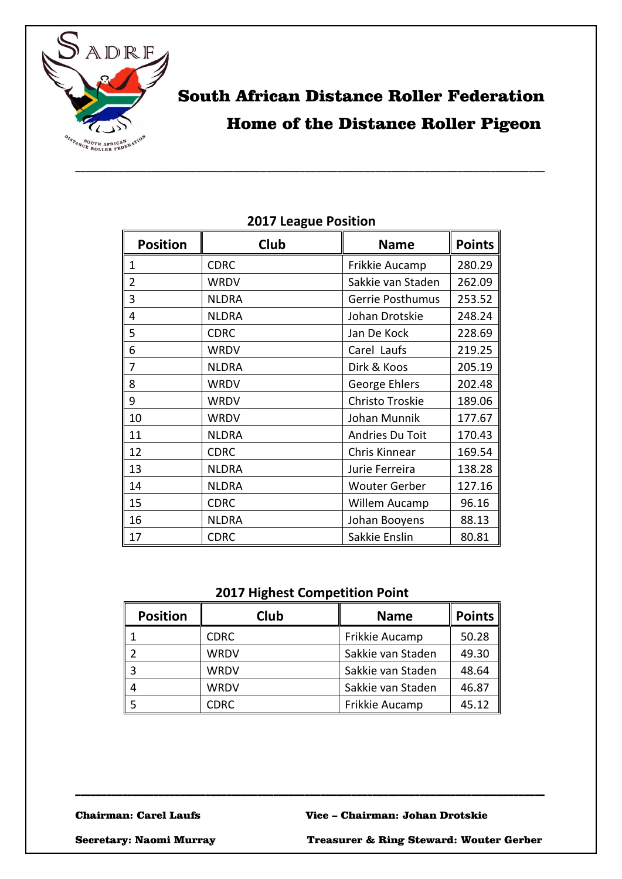

# South African Distance Roller Federation Home of the Distance Roller Pigeon

| <b>Position</b> | Club         | <b>Name</b>          | <b>Points</b> |
|-----------------|--------------|----------------------|---------------|
| 1               | <b>CDRC</b>  | Frikkie Aucamp       | 280.29        |
| $\overline{2}$  | <b>WRDV</b>  | Sakkie van Staden    | 262.09        |
| 3               | <b>NLDRA</b> | Gerrie Posthumus     | 253.52        |
| 4               | <b>NLDRA</b> | Johan Drotskie       | 248.24        |
| 5               | <b>CDRC</b>  | Jan De Kock          | 228.69        |
| 6               | WRDV         | Carel Laufs          | 219.25        |
| 7               | <b>NLDRA</b> | Dirk & Koos          | 205.19        |
| 8               | <b>WRDV</b>  | George Ehlers        | 202.48        |
| 9               | WRDV         | Christo Troskie      | 189.06        |
| 10              | WRDV         | Johan Munnik         | 177.67        |
| 11              | <b>NLDRA</b> | Andries Du Toit      | 170.43        |
| 12              | <b>CDRC</b>  | Chris Kinnear        | 169.54        |
| 13              | <b>NLDRA</b> | Jurie Ferreira       | 138.28        |
| 14              | <b>NLDRA</b> | <b>Wouter Gerber</b> | 127.16        |
| 15              | <b>CDRC</b>  | Willem Aucamp        | 96.16         |
| 16              | <b>NLDRA</b> | Johan Booyens        | 88.13         |
| 17              | <b>CDRC</b>  | Sakkie Enslin        | 80.81         |

## **2017 League Position**

## **2017 Highest Competition Point**

| <b>Position</b> | Club        | <b>Name</b>       | <b>Points</b> |
|-----------------|-------------|-------------------|---------------|
|                 | <b>CDRC</b> | Frikkie Aucamp    | 50.28         |
|                 | WRDV        | Sakkie van Staden | 49.30         |
|                 | <b>WRDV</b> | Sakkie van Staden | 48.64         |
|                 | <b>WRDV</b> | Sakkie van Staden | 46.87         |
|                 | CDRC        | Frikkie Aucamp    | 45.12         |

\_\_\_\_\_\_\_\_\_\_\_\_\_\_\_\_\_\_\_\_\_\_\_\_\_\_\_\_\_\_\_\_\_\_\_\_\_\_\_\_\_\_\_\_\_\_\_\_\_\_\_\_\_\_\_\_\_\_\_\_\_\_\_\_\_\_\_\_\_\_\_\_\_\_\_\_\_\_\_\_\_\_\_\_\_\_\_\_\_\_

Secretary: Naomi Murray Treasurer & Ring Steward: Wouter Gerber